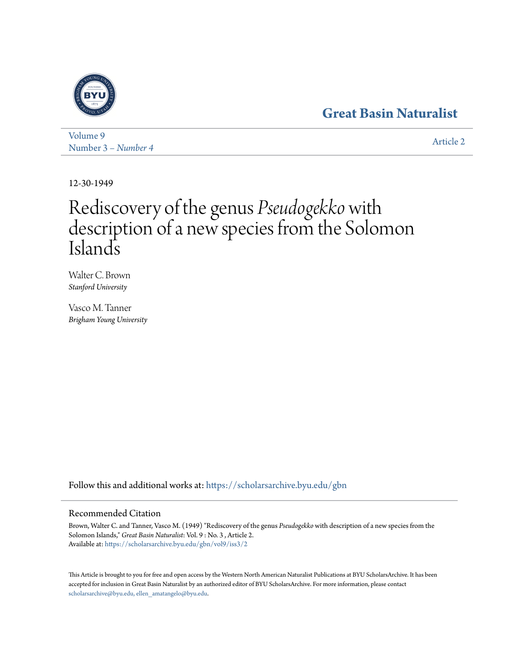# **[Great Basin Naturalist](https://scholarsarchive.byu.edu/gbn?utm_source=scholarsarchive.byu.edu%2Fgbn%2Fvol9%2Fiss3%2F2&utm_medium=PDF&utm_campaign=PDFCoverPages)**



[Volume 9](https://scholarsarchive.byu.edu/gbn/vol9?utm_source=scholarsarchive.byu.edu%2Fgbn%2Fvol9%2Fiss3%2F2&utm_medium=PDF&utm_campaign=PDFCoverPages) Number 3 *[– Number 4](https://scholarsarchive.byu.edu/gbn/vol9/iss3?utm_source=scholarsarchive.byu.edu%2Fgbn%2Fvol9%2Fiss3%2F2&utm_medium=PDF&utm_campaign=PDFCoverPages)* [Article 2](https://scholarsarchive.byu.edu/gbn/vol9/iss3/2?utm_source=scholarsarchive.byu.edu%2Fgbn%2Fvol9%2Fiss3%2F2&utm_medium=PDF&utm_campaign=PDFCoverPages)

12-30-1949

# Rediscovery of the genus *Pseudogekko* with description of a new species from the Solomon Islands

Walter C. Brown *Stanford University*

Vasco M. Tanner *Brigham Young University*

Follow this and additional works at: [https://scholarsarchive.byu.edu/gbn](https://scholarsarchive.byu.edu/gbn?utm_source=scholarsarchive.byu.edu%2Fgbn%2Fvol9%2Fiss3%2F2&utm_medium=PDF&utm_campaign=PDFCoverPages)

## Recommended Citation

Brown, Walter C. and Tanner, Vasco M. (1949) "Rediscovery of the genus *Pseudogekko* with description of a new species from the Solomon Islands," *Great Basin Naturalist*: Vol. 9 : No. 3 , Article 2. Available at: [https://scholarsarchive.byu.edu/gbn/vol9/iss3/2](https://scholarsarchive.byu.edu/gbn/vol9/iss3/2?utm_source=scholarsarchive.byu.edu%2Fgbn%2Fvol9%2Fiss3%2F2&utm_medium=PDF&utm_campaign=PDFCoverPages)

This Article is brought to you for free and open access by the Western North American Naturalist Publications at BYU ScholarsArchive. It has been accepted for inclusion in Great Basin Naturalist by an authorized editor of BYU ScholarsArchive. For more information, please contact [scholarsarchive@byu.edu, ellen\\_amatangelo@byu.edu.](mailto:scholarsarchive@byu.edu,%20ellen_amatangelo@byu.edu)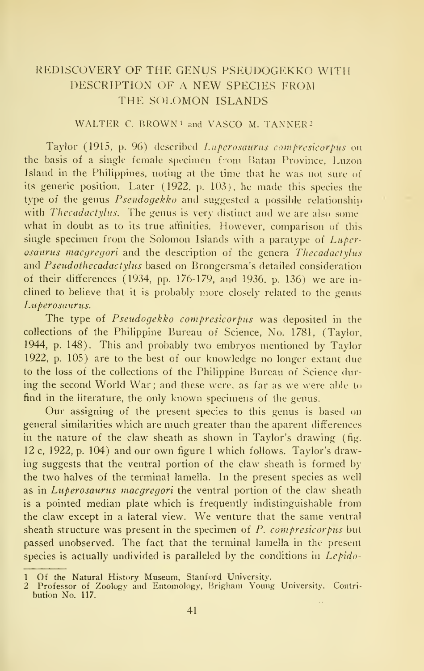# REDISCOVERY OF THE GENUS PSEUDOGEKKO WITH DESCRIPTION OF A NEW SPECIES FROM THE SOLOMON ISLANDS

### WALTER C. BROWN<sup>1</sup> and VASCO M. TANNER<sup>2</sup>

Taylor (1915, p. 96) described Luperosaurus compresicorpus on the basis of a single female specimen from Uatan Province, Luzon Island in the Philippines, noting at the time that he was not sure of its generic position. Later (1922, p. 103), he made this species the type of the genus  $Pseudoqekko$  and suggested a possible relationship with *Thecadactylus*. The genus is very distinct and we are also somewhat in doubt as to its true affinities. However, comparison of this single specimen from the Solomon Islands with a paratype of  $Luper$ osaurus macgregori and the description of the genera Thecadactylus and Pseudothecadactylus based on Brongersma's detailed consideration of their differences (1934, pp. 176-179, and 1936. p. 136) we are in clined to believe that it is probably more closely related to the genus Luperosaurus.

The type of Pseudogekko compresicorpus was deposited in the collections of the Philippine Bureau of Science, No. 1781, (Taylor, 1944, p. 148). This and probably two embryos mentioned by Taylor 1922, p. 105) are to the best of our knowledge no longer extant due to the loss of the collections of the Philippine Bureau of Science during the second World War; and these were, as far as we were able to find in the literature, the only known specimens of the genus.

Our assigning of the present species to this genus is based on general similarities which are much greater than the aparent differences in the nature of the claw sheath as shown in Taylor's drawing (fig. 12 c, 1922, p. 104) and our own figure <sup>1</sup>which follows. Taylor's drawing suggests that the ventral portion of the claw sheath is formed by the two halves of the terminal lamella. In the present species as well as in Luperosaurus macgregori the ventral portion of the claw sheath is a pointed median plate which is frequently indistinguishable from the claw except in <sup>a</sup> lateral view. We venture that the same ventral sheath structure was present in the specimen of  $P$ , compresicorpus but passed unobserved. The fact that the terminal lamella in the present species is actually undivided is paralleled by the conditions in  $Lepido-$ 

<sup>1</sup> Of the Natural History Museum, Stanford University. 2 Professor of Zoology and Entomology, Hrigham Young University. Contri bution No. 117.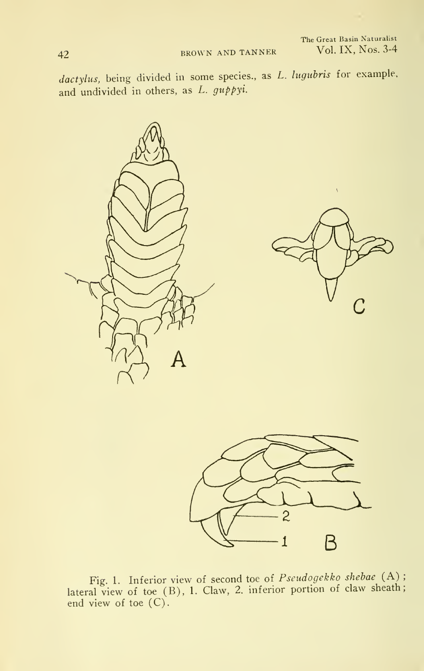dactylus, being divided in some species., as L. lugubris for example, and undivided in others, as L. guppyi.





Fig. 1. Inferior view of second toe of  $Pseudogekko shebae$  (A); lateral view of toe (B), 1. Claw, 2. inferior portion of claw sheath; end view of toe (C).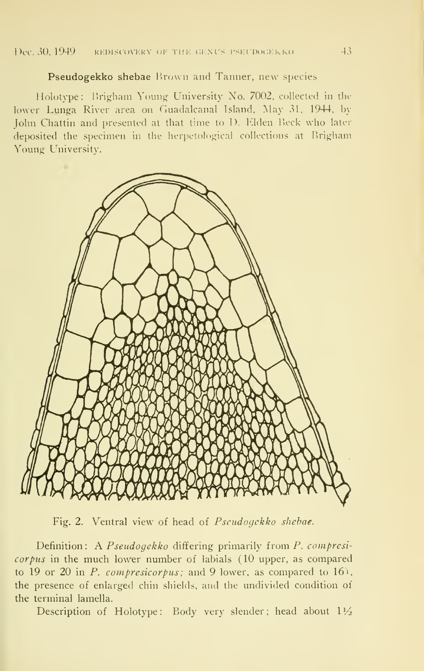#### Pseudogekko shebae Brown and Tanner, new species

Holotype: Brigham Young University No. 7002, collected in the lower Lunga River area on Guadalcanal Island, May 31, 1944, by John Chattin and presented at that time to D. Elden Beck who later deposited the specimen in the herpetological collections at Brigham Young University.



Fig. 2. Ventral view of head of Pseudogekko shebae.

Definition: A Pseudogekko differing primarily from P. compresicorpus in the much lower number of labials (10 upper, as compared to 19 or 20 in P. compresicorpus; and 9 lower, as compared to 16). the presence of enlarged chin shields, and the undivided condition of the terminal lamella.

Description of Holotype: Body very slender; head about  $1\frac{1}{2}$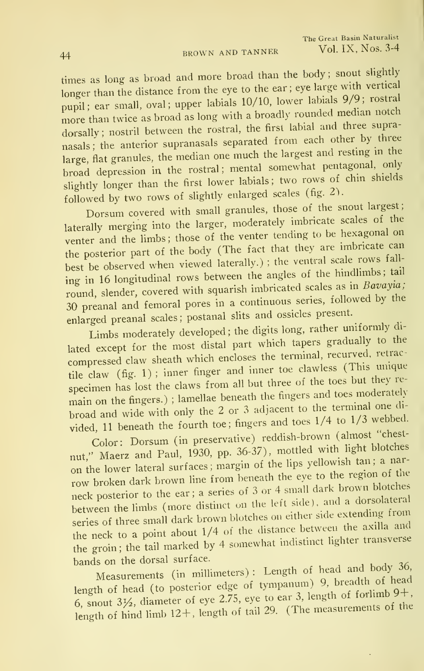times as long as broad and more broad than the body; snout slightly longer than the distance from the eye to the ear; eye large with vertical pupil; ear small, oval; upper labials 10/10, lower labials 9/9; rostral more than twice as broad as long with <sup>a</sup> broadly rounded median notch dorsally; nostril between the rostral, the first labial and three supranasals; the anterior supranasals separated from each other by three large, flat granules, the median one much the largest and resting in the broad depression in the rostral; mental somewhat pentagonal, only slightly longer than the first lower labials; two rows of chin shields followed by two rows of slightly enlarged scales (fig. 2).

Dorsum covered with small granules, those of the snout largest; laterally merging into the larger, moderately imbricate scales of the venter and the limbs; those of the venter tending to be hexagonal on the posterior part of the body (The fact that they are imbricate can best be observed when viewed laterally.); the ventral scale rows falling in 16 longitudinal rows between the angles of the hindlimbs; tail round, slender, covered with squarish imbricated scales as in Bavayia; <sup>30</sup> preanal and femoral pores in <sup>a</sup> continuous series, followed by the enlarged preanal scales; postanal slits and ossicles present.

Limbs moderately developed ; the digits long, rather uniformly dilated except for the most distal part which tapers gradually to the compressed claw sheath which encloses the terminal, recurved, retractile claw (fig. 1) ; inner finger and inner toe clawless (This unique specimen has lost the claws from all but three of the toes but they remain on the fingers.); lamellae beneath the fingers and toes moderately broad and wide with only the 2 or 3 adjacent to the terminal one divided, 11 beneath the fourth toe; fingers and toes  $1/4$  to  $1/3$  webbed.

Color: Dorsum (in preservative) reddish-brown (almost "chestnut," Maerz and Paul, 1930, pp. 36-37), mottled with light blotches on the lower lateral surfaces; margin of the lips yellowish tan; a narrow broken dark brown line from beneath the eye to the region of the neck posterior to the ear; a series of 3 or 4 small dark brown blotches between the limbs (more distinct on the left side), and a dorsolateral series of three small dark brown blotches on either side extending from the neck to a point about  $1/4$  of the distance between the axilla and the groin; the tail marked by 4 somewhat indistinct lighter transverse bands on the dorsal surface.

Son the dorsar sarracce serves (in millimeters) : Length of head and body  $36$ , length of head (to posterior edge of tympanum) 9, breading of head<br>6, snout  $3\frac{1}{2}$ , diameter of eye 2.75, eye to ear 3, length of forlimb  $9+$ , length of hind limb  $12+$ , length of tail 29. (The measurements of the